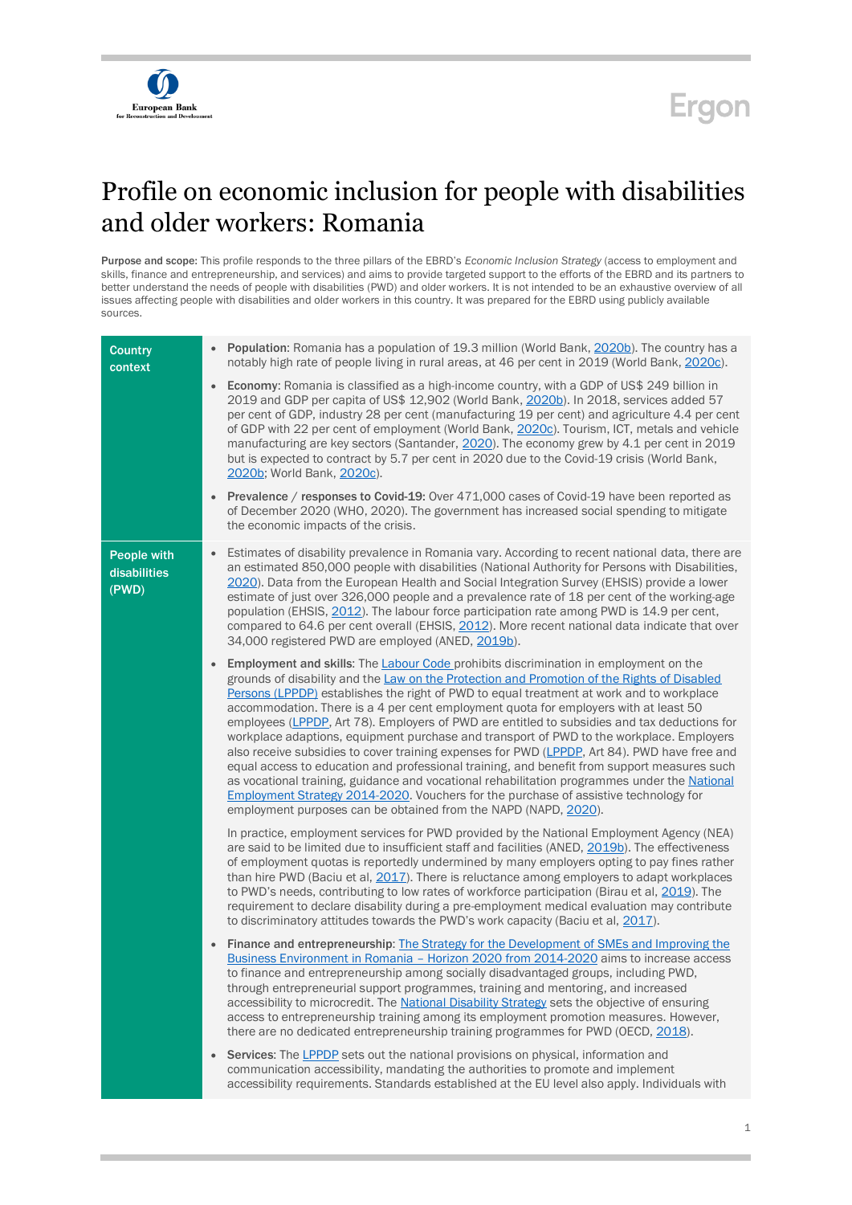

## **Ergon**

## Profile on economic inclusion for people with disabilities and older workers: Romania

Purpose and scope: This profile responds to the three pillars of the EBRD's *Economic Inclusion Strategy* (access to employment and skills, finance and entrepreneurship, and services) and aims to provide targeted support to the efforts of the EBRD and its partners to better understand the needs of people with disabilities (PWD) and older workers. It is not intended to be an exhaustive overview of all issues affecting people with disabilities and older workers in this country. It was prepared for the EBRD using publicly available sources.

| <b>Country</b><br>context                   | Population: Romania has a population of 19.3 million (World Bank, 2020b). The country has a<br>notably high rate of people living in rural areas, at 46 per cent in 2019 (World Bank, 2020c).                                                                                                                                                                                                                                                                                                                                                                                                                                                                                                                                                                                                                                                                                                                                                                                                                                                            |
|---------------------------------------------|----------------------------------------------------------------------------------------------------------------------------------------------------------------------------------------------------------------------------------------------------------------------------------------------------------------------------------------------------------------------------------------------------------------------------------------------------------------------------------------------------------------------------------------------------------------------------------------------------------------------------------------------------------------------------------------------------------------------------------------------------------------------------------------------------------------------------------------------------------------------------------------------------------------------------------------------------------------------------------------------------------------------------------------------------------|
|                                             | Economy: Romania is classified as a high-income country, with a GDP of US\$ 249 billion in<br>$\bullet$<br>2019 and GDP per capita of US\$ 12,902 (World Bank, 2020b). In 2018, services added 57<br>per cent of GDP, industry 28 per cent (manufacturing 19 per cent) and agriculture 4.4 per cent<br>of GDP with 22 per cent of employment (World Bank, 2020c). Tourism, ICT, metals and vehicle<br>manufacturing are key sectors (Santander, 2020). The economy grew by 4.1 per cent in 2019<br>but is expected to contract by 5.7 per cent in 2020 due to the Covid-19 crisis (World Bank,<br>2020b; World Bank, 2020c).                                                                                                                                                                                                                                                                                                                                                                                                                             |
|                                             | Prevalence / responses to Covid-19: Over 471,000 cases of Covid-19 have been reported as<br>of December 2020 (WHO, 2020). The government has increased social spending to mitigate<br>the economic impacts of the crisis.                                                                                                                                                                                                                                                                                                                                                                                                                                                                                                                                                                                                                                                                                                                                                                                                                                |
| <b>People with</b><br>disabilities<br>(PWD) | Estimates of disability prevalence in Romania vary. According to recent national data, there are<br>$\bullet$<br>an estimated 850,000 people with disabilities (National Authority for Persons with Disabilities,<br>2020). Data from the European Health and Social Integration Survey (EHSIS) provide a lower<br>estimate of just over 326,000 people and a prevalence rate of 18 per cent of the working-age<br>population (EHSIS, 2012). The labour force participation rate among PWD is 14.9 per cent,<br>compared to 64.6 per cent overall (EHSIS, 2012). More recent national data indicate that over<br>34,000 registered PWD are employed (ANED, 2019b).                                                                                                                                                                                                                                                                                                                                                                                       |
|                                             | <b>Employment and skills:</b> The <b>Labour Code prohibits discrimination in employment on the</b><br>$\bullet$<br>grounds of disability and the Law on the Protection and Promotion of the Rights of Disabled<br>Persons (LPPDP) establishes the right of PWD to equal treatment at work and to workplace<br>accommodation. There is a 4 per cent employment quota for employers with at least 50<br>employees (LPPDP, Art 78). Employers of PWD are entitled to subsidies and tax deductions for<br>workplace adaptions, equipment purchase and transport of PWD to the workplace. Employers<br>also receive subsidies to cover training expenses for PWD (LPPDP, Art 84). PWD have free and<br>equal access to education and professional training, and benefit from support measures such<br>as vocational training, guidance and vocational rehabilitation programmes under the National<br>Employment Strategy 2014-2020. Vouchers for the purchase of assistive technology for<br>employment purposes can be obtained from the NAPD (NAPD, 2020). |
|                                             | In practice, employment services for PWD provided by the National Employment Agency (NEA)<br>are said to be limited due to insufficient staff and facilities (ANED, 2019b). The effectiveness<br>of employment quotas is reportedly undermined by many employers opting to pay fines rather<br>than hire PWD (Baciu et al, 2017). There is reluctance among employers to adapt workplaces<br>to PWD's needs, contributing to low rates of workforce participation (Birau et al, 2019). The<br>requirement to declare disability during a pre-employment medical evaluation may contribute<br>to discriminatory attitudes towards the PWD's work capacity (Baciu et al, 2017).                                                                                                                                                                                                                                                                                                                                                                            |
|                                             | Finance and entrepreneurship: The Strategy for the Development of SMEs and Improving the<br>$\bullet$<br>Business Environment in Romania - Horizon 2020 from 2014-2020 aims to increase access<br>to finance and entrepreneurship among socially disadvantaged groups, including PWD,<br>through entrepreneurial support programmes, training and mentoring, and increased<br>accessibility to microcredit. The National Disability Strategy sets the objective of ensuring<br>access to entrepreneurship training among its employment promotion measures. However,<br>there are no dedicated entrepreneurship training programmes for PWD (OECD, 2018).                                                                                                                                                                                                                                                                                                                                                                                                |
|                                             | Services: The LPPDP sets out the national provisions on physical, information and<br>$\bullet$<br>communication accessibility, mandating the authorities to promote and implement<br>accessibility requirements. Standards established at the EU level also apply. Individuals with                                                                                                                                                                                                                                                                                                                                                                                                                                                                                                                                                                                                                                                                                                                                                                      |